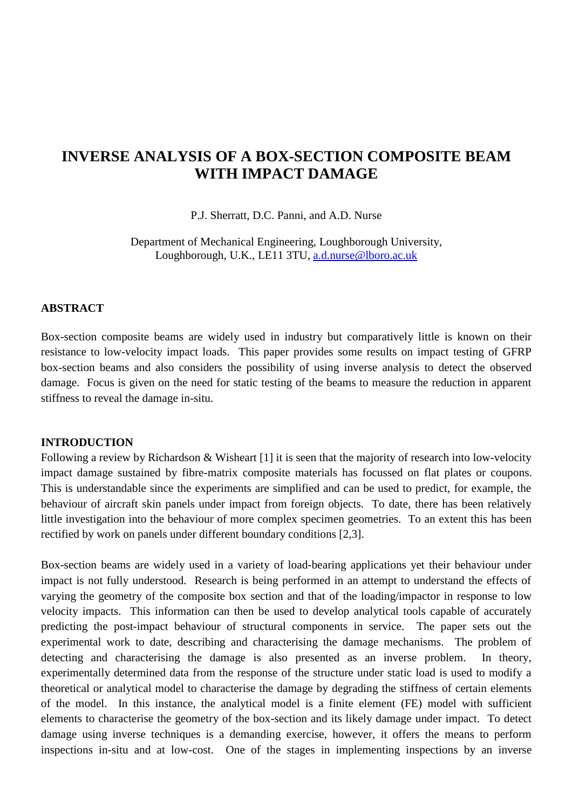# **INVERSE ANALYSIS OF A BOX-SECTION COMPOSITE BEAM WITH IMPACT DAMAGE**

P.J. Sherratt, D.C. Panni, and A.D. Nurse

Department of Mechanical Engineering, Loughborough University, Loughborough, U.K., LE11 3TU, a.d.nurse@lboro.ac.uk

## **ABSTRACT**

Box-section composite beams are widely used in industry but comparatively little is known on their resistance to low-velocity impact loads. This paper provides some results on impact testing of GFRP box-section beams and also considers the possibility of using inverse analysis to detect the observed damage. Focus is given on the need for static testing of the beams to measure the reduction in apparent stiffness to reveal the damage in-situ.

#### **INTRODUCTION**

Following a review by Richardson & Wisheart [1] it is seen that the majority of research into low-velocity impact damage sustained by fibre-matrix composite materials has focussed on flat plates or coupons. This is understandable since the experiments are simplified and can be used to predict, for example, the behaviour of aircraft skin panels under impact from foreign objects. To date, there has been relatively little investigation into the behaviour of more complex specimen geometries. To an extent this has been rectified by work on panels under different boundary conditions [2,3].

Box-section beams are widely used in a variety of load-bearing applications yet their behaviour under impact is not fully understood. Research is being performed in an attempt to understand the effects of varying the geometry of the composite box section and that of the loading/impactor in response to low velocity impacts. This information can then be used to develop analytical tools capable of accurately predicting the post-impact behaviour of structural components in service. The paper sets out the experimental work to date, describing and characterising the damage mechanisms. The problem of detecting and characterising the damage is also presented as an inverse problem. In theory, experimentally determined data from the response of the structure under static load is used to modify a theoretical or analytical model to characterise the damage by degrading the stiffness of certain elements of the model. In this instance, the analytical model is a finite element (FE) model with sufficient elements to characterise the geometry of the box-section and its likely damage under impact. To detect damage using inverse techniques is a demanding exercise, however, it offers the means to perform inspections in-situ and at low-cost. One of the stages in implementing inspections by an inverse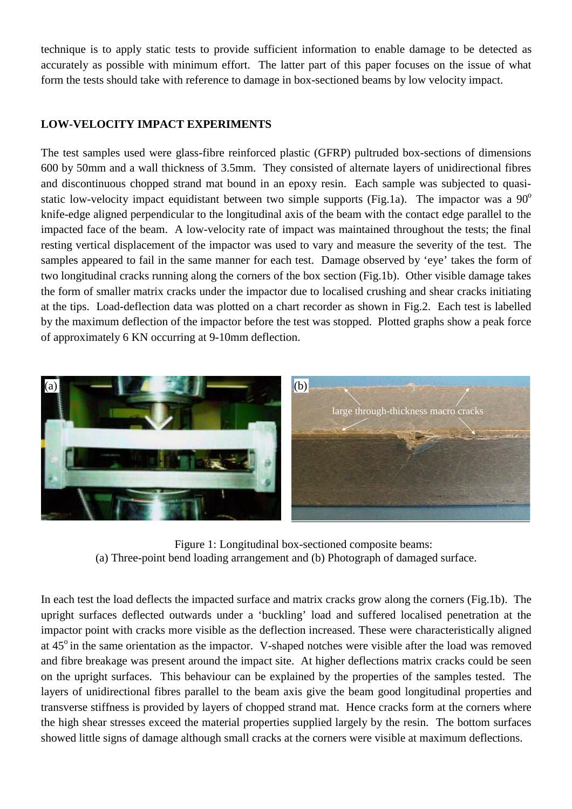technique is to apply static tests to provide sufficient information to enable damage to be detected as accurately as possible with minimum effort. The latter part of this paper focuses on the issue of what form the tests should take with reference to damage in box-sectioned beams by low velocity impact.

# **LOW-VELOCITY IMPACT EXPERIMENTS**

The test samples used were glass-fibre reinforced plastic (GFRP) pultruded box-sections of dimensions 600 by 50mm and a wall thickness of 3.5mm. They consisted of alternate layers of unidirectional fibres and discontinuous chopped strand mat bound in an epoxy resin. Each sample was subjected to quasistatic low-velocity impact equidistant between two simple supports (Fig.1a). The impactor was a  $90^{\circ}$ knife-edge aligned perpendicular to the longitudinal axis of the beam with the contact edge parallel to the impacted face of the beam. A low-velocity rate of impact was maintained throughout the tests; the final resting vertical displacement of the impactor was used to vary and measure the severity of the test. The samples appeared to fail in the same manner for each test. Damage observed by 'eye' takes the form of two longitudinal cracks running along the corners of the box section (Fig.1b). Other visible damage takes the form of smaller matrix cracks under the impactor due to localised crushing and shear cracks initiating at the tips. Load-deflection data was plotted on a chart recorder as shown in Fig.2. Each test is labelled by the maximum deflection of the impactor before the test was stopped. Plotted graphs show a peak force of approximately 6 KN occurring at 9-10mm deflection.



Figure 1: Longitudinal box-sectioned composite beams: (a) Three-point bend loading arrangement and (b) Photograph of damaged surface.

In each test the load deflects the impacted surface and matrix cracks grow along the corners (Fig.1b). The upright surfaces deflected outwards under a 'buckling' load and suffered localised penetration at the impactor point with cracks more visible as the deflection increased. These were characteristically aligned at 45<sup>o</sup> in the same orientation as the impactor. V-shaped notches were visible after the load was removed and fibre breakage was present around the impact site. At higher deflections matrix cracks could be seen on the upright surfaces. This behaviour can be explained by the properties of the samples tested. The layers of unidirectional fibres parallel to the beam axis give the beam good longitudinal properties and transverse stiffness is provided by layers of chopped strand mat. Hence cracks form at the corners where the high shear stresses exceed the material properties supplied largely by the resin. The bottom surfaces showed little signs of damage although small cracks at the corners were visible at maximum deflections.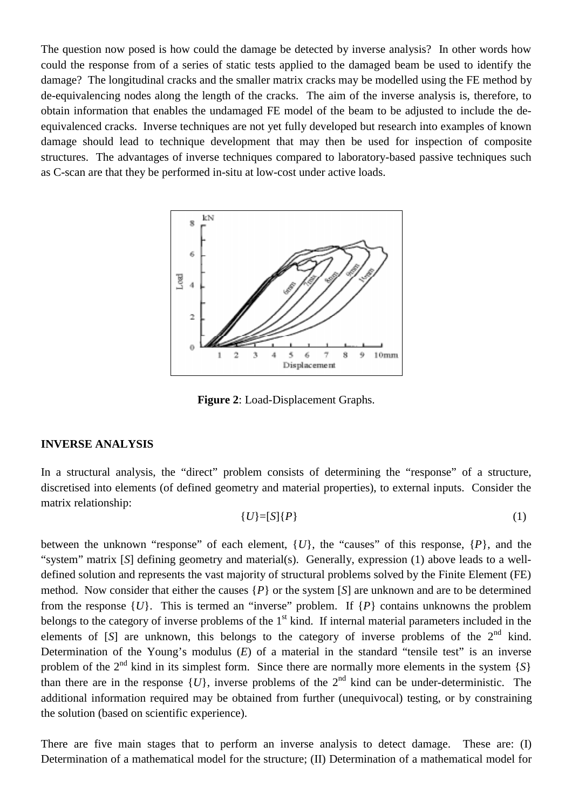The question now posed is how could the damage be detected by inverse analysis? In other words how could the response from of a series of static tests applied to the damaged beam be used to identify the damage? The longitudinal cracks and the smaller matrix cracks may be modelled using the FE method by de-equivalencing nodes along the length of the cracks. The aim of the inverse analysis is, therefore, to obtain information that enables the undamaged FE model of the beam to be adjusted to include the deequivalenced cracks. Inverse techniques are not yet fully developed but research into examples of known damage should lead to technique development that may then be used for inspection of composite structures. The advantages of inverse techniques compared to laboratory-based passive techniques such as C-scan are that they be performed in-situ at low-cost under active loads.



**Figure 2**: Load-Displacement Graphs.

#### **INVERSE ANALYSIS**

In a structural analysis, the "direct" problem consists of determining the "response" of a structure, discretised into elements (of defined geometry and material properties), to external inputs. Consider the matrix relationship:

$$
\{U\}=[S]\{P\}\tag{1}
$$

between the unknown "response" of each element,  $\{U\}$ , the "causes" of this response,  $\{P\}$ , and the "system" matrix [*S*] defining geometry and material(s). Generally, expression (1) above leads to a welldefined solution and represents the vast majority of structural problems solved by the Finite Element (FE) method. Now consider that either the causes {*P*} or the system [*S*] are unknown and are to be determined from the response  $\{U\}$ . This is termed an "inverse" problem. If  $\{P\}$  contains unknowns the problem belongs to the category of inverse problems of the  $1<sup>st</sup>$  kind. If internal material parameters included in the elements of [*S*] are unknown, this belongs to the category of inverse problems of the 2<sup>nd</sup> kind. Determination of the Young's modulus (*E*) of a material in the standard "tensile test" is an inverse problem of the  $2<sup>nd</sup>$  kind in its simplest form. Since there are normally more elements in the system  $\{S\}$ than there are in the response  $\{U\}$ , inverse problems of the  $2<sup>nd</sup>$  kind can be under-deterministic. The additional information required may be obtained from further (unequivocal) testing, or by constraining the solution (based on scientific experience).

There are five main stages that to perform an inverse analysis to detect damage. These are: (I) Determination of a mathematical model for the structure; (II) Determination of a mathematical model for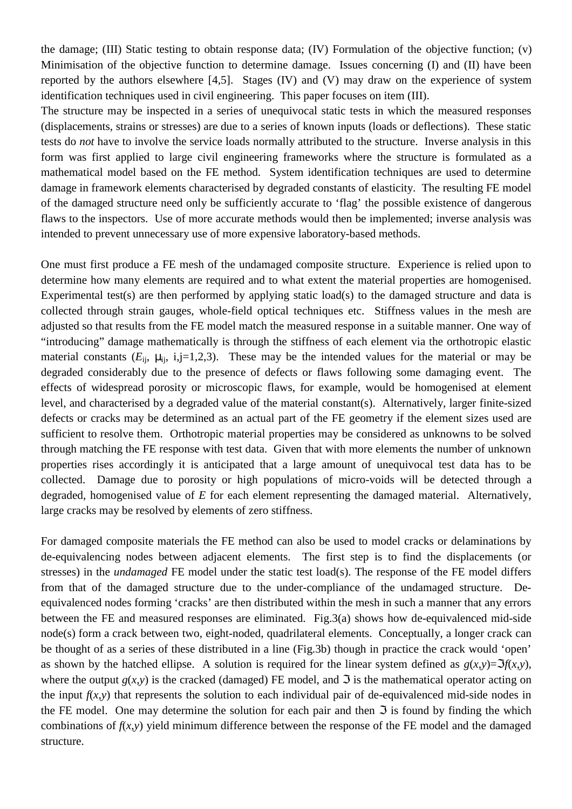the damage; (III) Static testing to obtain response data; (IV) Formulation of the objective function; (v) Minimisation of the objective function to determine damage. Issues concerning (I) and (II) have been reported by the authors elsewhere [4,5]. Stages (IV) and (V) may draw on the experience of system identification techniques used in civil engineering. This paper focuses on item (III).

The structure may be inspected in a series of unequivocal static tests in which the measured responses (displacements, strains or stresses) are due to a series of known inputs (loads or deflections). These static tests do *not* have to involve the service loads normally attributed to the structure. Inverse analysis in this form was first applied to large civil engineering frameworks where the structure is formulated as a mathematical model based on the FE method. System identification techniques are used to determine damage in framework elements characterised by degraded constants of elasticity. The resulting FE model of the damaged structure need only be sufficiently accurate to 'flag' the possible existence of dangerous flaws to the inspectors. Use of more accurate methods would then be implemented; inverse analysis was intended to prevent unnecessary use of more expensive laboratory-based methods.

One must first produce a FE mesh of the undamaged composite structure. Experience is relied upon to determine how many elements are required and to what extent the material properties are homogenised. Experimental test(s) are then performed by applying static load(s) to the damaged structure and data is collected through strain gauges, whole-field optical techniques etc. Stiffness values in the mesh are adjusted so that results from the FE model match the measured response in a suitable manner. One way of "introducing" damage mathematically is through the stiffness of each element via the orthotropic elastic material constants  $(E_{ii}, \mu_{ii}, i,j=1,2,3)$ . These may be the intended values for the material or may be degraded considerably due to the presence of defects or flaws following some damaging event. The effects of widespread porosity or microscopic flaws, for example, would be homogenised at element level, and characterised by a degraded value of the material constant(s). Alternatively, larger finite-sized defects or cracks may be determined as an actual part of the FE geometry if the element sizes used are sufficient to resolve them. Orthotropic material properties may be considered as unknowns to be solved through matching the FE response with test data. Given that with more elements the number of unknown properties rises accordingly it is anticipated that a large amount of unequivocal test data has to be collected. Damage due to porosity or high populations of micro-voids will be detected through a degraded, homogenised value of *E* for each element representing the damaged material. Alternatively, large cracks may be resolved by elements of zero stiffness.

For damaged composite materials the FE method can also be used to model cracks or delaminations by de-equivalencing nodes between adjacent elements. The first step is to find the displacements (or stresses) in the *undamaged* FE model under the static test load(s). The response of the FE model differs from that of the damaged structure due to the under-compliance of the undamaged structure. Deequivalenced nodes forming 'cracks' are then distributed within the mesh in such a manner that any errors between the FE and measured responses are eliminated. Fig.3(a) shows how de-equivalenced mid-side node(s) form a crack between two, eight-noded, quadrilateral elements. Conceptually, a longer crack can be thought of as a series of these distributed in a line (Fig.3b) though in practice the crack would 'open' as shown by the hatched ellipse. A solution is required for the linear system defined as  $g(x,y)=\mathfrak{F}(x,y)$ , where the output  $g(x, y)$  is the cracked (damaged) FE model, and  $\Im$  is the mathematical operator acting on the input  $f(x, y)$  that represents the solution to each individual pair of de-equivalenced mid-side nodes in the FE model. One may determine the solution for each pair and then  $\Im$  is found by finding the which combinations of  $f(x, y)$  yield minimum difference between the response of the FE model and the damaged structure.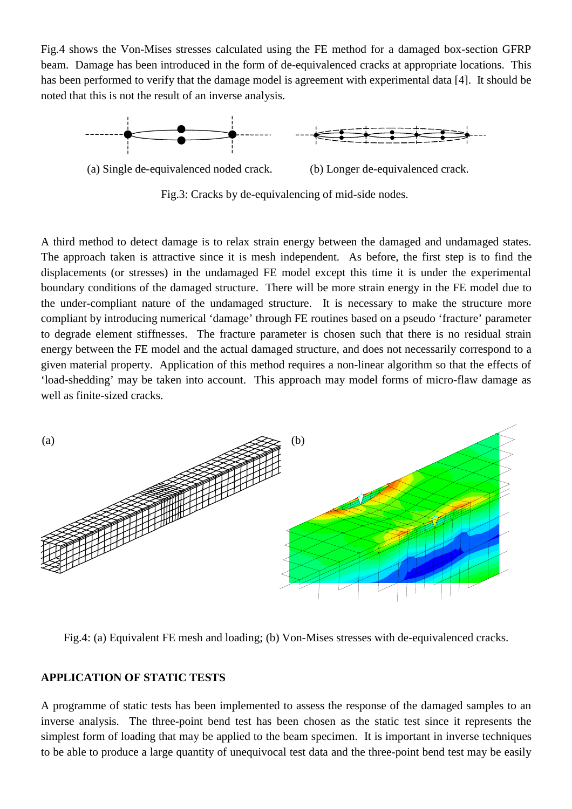Fig.4 shows the Von-Mises stresses calculated using the FE method for a damaged box-section GFRP beam. Damage has been introduced in the form of de-equivalenced cracks at appropriate locations. This has been performed to verify that the damage model is agreement with experimental data [4]. It should be noted that this is not the result of an inverse analysis.



Fig.3: Cracks by de-equivalencing of mid-side nodes.

A third method to detect damage is to relax strain energy between the damaged and undamaged states. The approach taken is attractive since it is mesh independent. As before, the first step is to find the displacements (or stresses) in the undamaged FE model except this time it is under the experimental boundary conditions of the damaged structure. There will be more strain energy in the FE model due to the under-compliant nature of the undamaged structure. It is necessary to make the structure more compliant by introducing numerical 'damage' through FE routines based on a pseudo 'fracture' parameter to degrade element stiffnesses. The fracture parameter is chosen such that there is no residual strain energy between the FE model and the actual damaged structure, and does not necessarily correspond to a given material property. Application of this method requires a non-linear algorithm so that the effects of 'load-shedding' may be taken into account. This approach may model forms of micro-flaw damage as well as finite-sized cracks.



Fig.4: (a) Equivalent FE mesh and loading; (b) Von-Mises stresses with de-equivalenced cracks.

## **APPLICATION OF STATIC TESTS**

A programme of static tests has been implemented to assess the response of the damaged samples to an inverse analysis. The three-point bend test has been chosen as the static test since it represents the simplest form of loading that may be applied to the beam specimen. It is important in inverse techniques to be able to produce a large quantity of unequivocal test data and the three-point bend test may be easily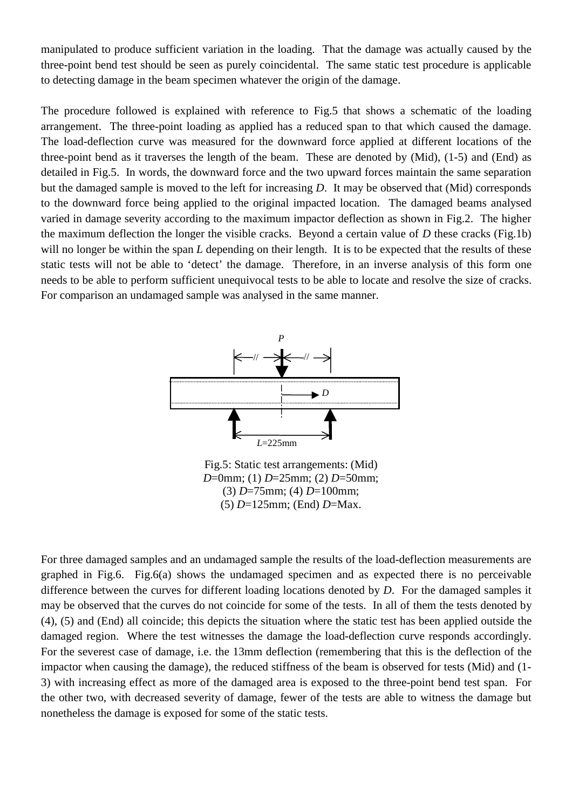manipulated to produce sufficient variation in the loading. That the damage was actually caused by the three-point bend test should be seen as purely coincidental. The same static test procedure is applicable to detecting damage in the beam specimen whatever the origin of the damage.

The procedure followed is explained with reference to Fig.5 that shows a schematic of the loading arrangement. The three-point loading as applied has a reduced span to that which caused the damage. The load-deflection curve was measured for the downward force applied at different locations of the three-point bend as it traverses the length of the beam. These are denoted by (Mid), (1-5) and (End) as detailed in Fig.5. In words, the downward force and the two upward forces maintain the same separation but the damaged sample is moved to the left for increasing *D*. It may be observed that (Mid) corresponds to the downward force being applied to the original impacted location. The damaged beams analysed varied in damage severity according to the maximum impactor deflection as shown in Fig.2. The higher the maximum deflection the longer the visible cracks. Beyond a certain value of *D* these cracks (Fig.1b) will no longer be within the span *L* depending on their length. It is to be expected that the results of these static tests will not be able to 'detect' the damage. Therefore, in an inverse analysis of this form one needs to be able to perform sufficient unequivocal tests to be able to locate and resolve the size of cracks. For comparison an undamaged sample was analysed in the same manner.



Fig.5: Static test arrangements: (Mid) *D*=0mm; (1) *D*=25mm; (2) *D*=50mm; (3) *D*=75mm; (4) *D*=100mm; (5) *D*=125mm; (End) *D*=Max.

For three damaged samples and an undamaged sample the results of the load-deflection measurements are graphed in Fig.6. Fig.6(a) shows the undamaged specimen and as expected there is no perceivable difference between the curves for different loading locations denoted by *D*. For the damaged samples it may be observed that the curves do not coincide for some of the tests. In all of them the tests denoted by (4), (5) and (End) all coincide; this depicts the situation where the static test has been applied outside the damaged region. Where the test witnesses the damage the load-deflection curve responds accordingly. For the severest case of damage, i.e. the 13mm deflection (remembering that this is the deflection of the impactor when causing the damage), the reduced stiffness of the beam is observed for tests (Mid) and (1- 3) with increasing effect as more of the damaged area is exposed to the three-point bend test span. For the other two, with decreased severity of damage, fewer of the tests are able to witness the damage but nonetheless the damage is exposed for some of the static tests.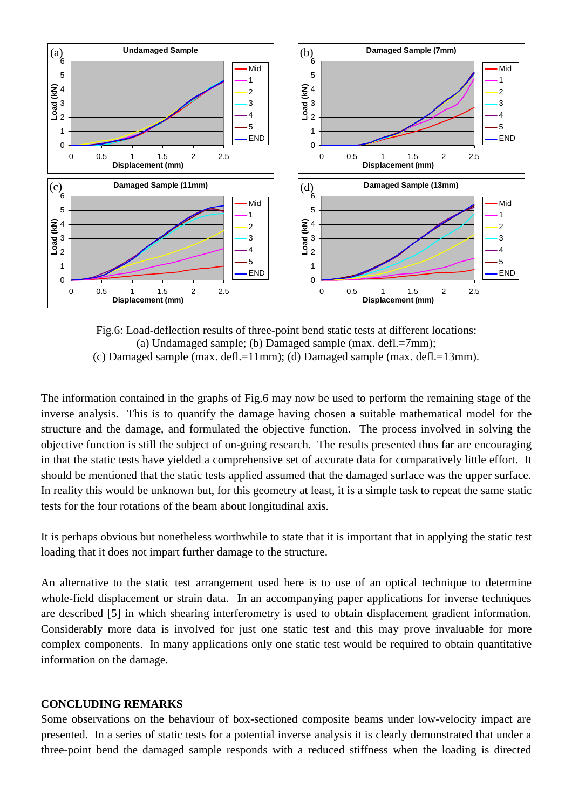

Fig.6: Load-deflection results of three-point bend static tests at different locations: (a) Undamaged sample; (b) Damaged sample (max. defl.=7mm); (c) Damaged sample (max. defl.=11mm); (d) Damaged sample (max. defl.=13mm).

The information contained in the graphs of Fig.6 may now be used to perform the remaining stage of the inverse analysis. This is to quantify the damage having chosen a suitable mathematical model for the structure and the damage, and formulated the objective function. The process involved in solving the objective function is still the subject of on-going research. The results presented thus far are encouraging in that the static tests have yielded a comprehensive set of accurate data for comparatively little effort. It should be mentioned that the static tests applied assumed that the damaged surface was the upper surface. In reality this would be unknown but, for this geometry at least, it is a simple task to repeat the same static tests for the four rotations of the beam about longitudinal axis.

It is perhaps obvious but nonetheless worthwhile to state that it is important that in applying the static test loading that it does not impart further damage to the structure.

An alternative to the static test arrangement used here is to use of an optical technique to determine whole-field displacement or strain data. In an accompanying paper applications for inverse techniques are described [5] in which shearing interferometry is used to obtain displacement gradient information. Considerably more data is involved for just one static test and this may prove invaluable for more complex components. In many applications only one static test would be required to obtain quantitative information on the damage.

#### **CONCLUDING REMARKS**

Some observations on the behaviour of box-sectioned composite beams under low-velocity impact are presented. In a series of static tests for a potential inverse analysis it is clearly demonstrated that under a three-point bend the damaged sample responds with a reduced stiffness when the loading is directed